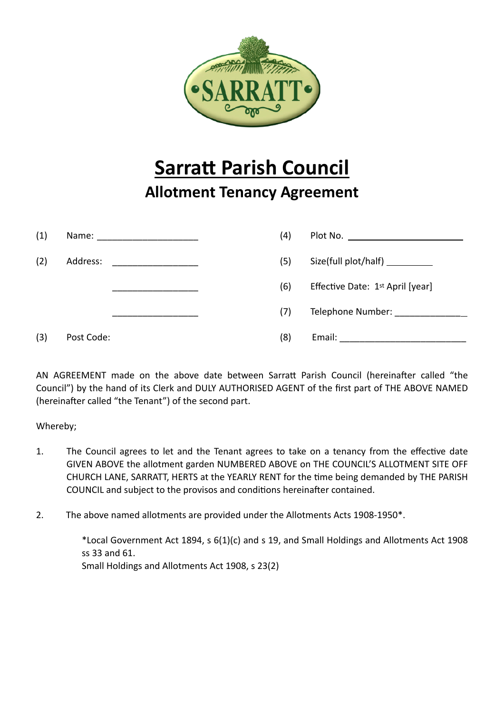

## **Sarratt Parish Council Allotment Tenancy Agreement**

| (1) | Name: _________________________                                                                                                  | (4) |                                                                                                                  |
|-----|----------------------------------------------------------------------------------------------------------------------------------|-----|------------------------------------------------------------------------------------------------------------------|
| (2) | Address:<br><u> 2001 - Januar Alemania, masonalista espainiar espainiar espainiar espainiar espainiar espainiar espainiar es</u> | (5) | Size(full plot/half) __________                                                                                  |
|     |                                                                                                                                  | (6) | Effective Date: 1st April [year]                                                                                 |
|     |                                                                                                                                  | (7) | Telephone Number: Letter and Letter and Letter and Letter and Letter and Letter and Letter and Letter and Letter |
| (3) | Post Code:                                                                                                                       | (8) |                                                                                                                  |

AN AGREEMENT made on the above date between Sarratt Parish Council (hereinafter called "the Council") by the hand of its Clerk and DULY AUTHORISED AGENT of the first part of THE ABOVE NAMED (hereinafter called "the Tenant") of the second part.

Whereby;

- 1. The Council agrees to let and the Tenant agrees to take on a tenancy from the effective date GIVEN ABOVE the allotment garden NUMBERED ABOVE on THE COUNCIL'S ALLOTMENT SITE OFF CHURCH LANE, SARRATT, HERTS at the YEARLY RENT for the time being demanded by THE PARISH COUNCIL and subject to the provisos and conditions hereinafter contained.
- 2. The above named allotments are provided under the Allotments Acts 1908-1950\*.

\*Local Government Act 1894, s 6(1)(c) and s 19, and Small Holdings and Allotments Act 1908 ss 33 and 61. Small Holdings and Allotments Act 1908, s 23(2)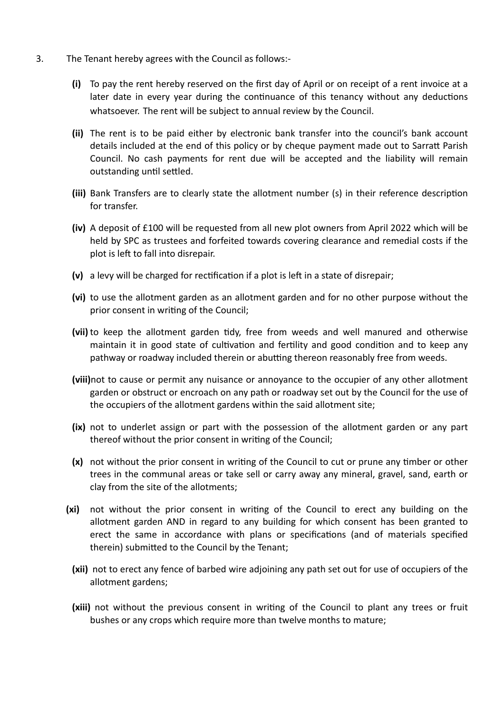- 3. The Tenant hereby agrees with the Council as follows:-
	- **(i)** To pay the rent hereby reserved on the first day of April or on receipt of a rent invoice at a later date in every year during the continuance of this tenancy without any deductions whatsoever. The rent will be subject to annual review by the Council.
	- **(ii)** The rent is to be paid either by electronic bank transfer into the council's bank account details included at the end of this policy or by cheque payment made out to Sarratt Parish Council. No cash payments for rent due will be accepted and the liability will remain outstanding until settled.
	- **(iii)** Bank Transfers are to clearly state the allotment number (s) in their reference description for transfer.
	- **(iv)** A deposit of £100 will be requested from all new plot owners from April 2022 which will be held by SPC as trustees and forfeited towards covering clearance and remedial costs if the plot is left to fall into disrepair.
	- **(v)** a levy will be charged for rectification if a plot is left in a state of disrepair;
	- **(vi)** to use the allotment garden as an allotment garden and for no other purpose without the prior consent in writing of the Council;
	- **(vii)** to keep the allotment garden tidy, free from weeds and well manured and otherwise maintain it in good state of cultivation and fertility and good condition and to keep any pathway or roadway included therein or abutting thereon reasonably free from weeds.
	- **(viii)**not to cause or permit any nuisance or annoyance to the occupier of any other allotment garden or obstruct or encroach on any path or roadway set out by the Council for the use of the occupiers of the allotment gardens within the said allotment site;
	- **(ix)** not to underlet assign or part with the possession of the allotment garden or any part thereof without the prior consent in writing of the Council;
	- **(x)** not without the prior consent in writing of the Council to cut or prune any timber or other trees in the communal areas or take sell or carry away any mineral, gravel, sand, earth or clay from the site of the allotments;
	- **(xi)** not without the prior consent in writing of the Council to erect any building on the allotment garden AND in regard to any building for which consent has been granted to erect the same in accordance with plans or specifications (and of materials specified therein) submitted to the Council by the Tenant;
		- **(xii)** not to erect any fence of barbed wire adjoining any path set out for use of occupiers of the allotment gardens;
		- **(xiii)** not without the previous consent in writing of the Council to plant any trees or fruit bushes or any crops which require more than twelve months to mature;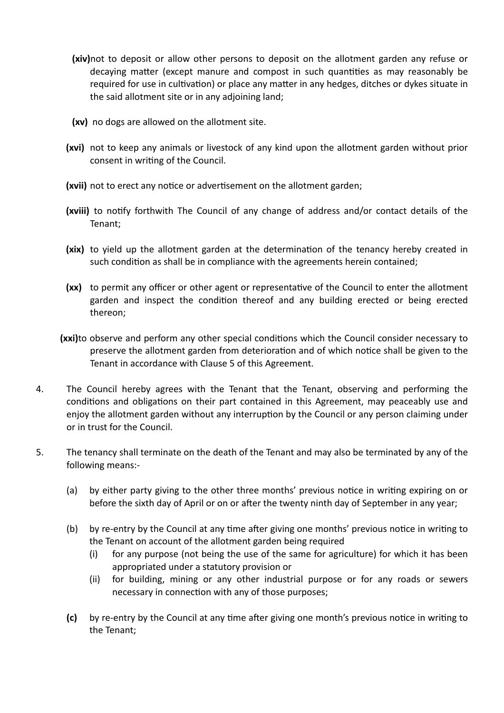- **(xiv)**not to deposit or allow other persons to deposit on the allotment garden any refuse or decaying matter (except manure and compost in such quantities as may reasonably be required for use in cultivation) or place any matter in any hedges, ditches or dykes situate in the said allotment site or in any adjoining land;
- **(xv)** no dogs are allowed on the allotment site.
- **(xvi)** not to keep any animals or livestock of any kind upon the allotment garden without prior consent in writing of the Council.
- **(xvii)** not to erect any notice or advertisement on the allotment garden;
- **(xviii)** to notify forthwith The Council of any change of address and/or contact details of the Tenant;
- **(xix)** to yield up the allotment garden at the determination of the tenancy hereby created in such condition as shall be in compliance with the agreements herein contained;
- **(xx)** to permit any officer or other agent or representative of the Council to enter the allotment garden and inspect the condition thereof and any building erected or being erected thereon;
- **(xxi)**to observe and perform any other special conditions which the Council consider necessary to preserve the allotment garden from deterioration and of which notice shall be given to the Tenant in accordance with Clause 5 of this Agreement.
- 4. The Council hereby agrees with the Tenant that the Tenant, observing and performing the conditions and obligations on their part contained in this Agreement, may peaceably use and enjoy the allotment garden without any interruption by the Council or any person claiming under or in trust for the Council.
- 5. The tenancy shall terminate on the death of the Tenant and may also be terminated by any of the following means:-
	- (a) by either party giving to the other three months' previous notice in writing expiring on or before the sixth day of April or on or after the twenty ninth day of September in any year;
	- (b) by re-entry by the Council at any time after giving one months' previous notice in writing to the Tenant on account of the allotment garden being required
		- (i) for any purpose (not being the use of the same for agriculture) for which it has been appropriated under a statutory provision or
		- (ii) for building, mining or any other industrial purpose or for any roads or sewers necessary in connection with any of those purposes;
	- **(c)** by re-entry by the Council at any time after giving one month's previous notice in writing to the Tenant;